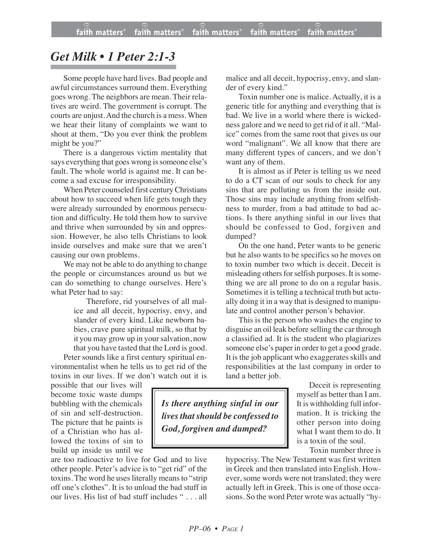## *Get Milk • 1 Peter 2:1-3*

Some people have hard lives. Bad people and awful circumstances surround them. Everything goes wrong. The neighbors are mean. Their relatives are weird. The government is corrupt. The courts are unjust.And the church is a mess. When we hear their litany of complaints we want to shout at them, "Do you ever think the problem might be you?"

There is a dangerous victim mentality that says everything that goes wrong is someone else's fault. The whole world is against me. It can become a sad excuse for irresponsibility.

When Peter counseled first centuryChristians about how to succeed when life gets tough they were already surrounded by enormous persecution and difficulty. He told them how to survive and thrive when surrounded by sin and oppression. However, he also tells Christians to look inside ourselves and make sure that we aren't causing our own problems.

We may not be able to do anything to change the people or circumstances around us but we can do something to change ourselves. Here's what Peter had to say:

> Therefore, rid yourselves of all malice and all deceit, hypocrisy, envy, and slander of every kind. Like newborn babies, crave pure spiritual milk, so that by it you may grow up in yoursalvation, now that you have tasted that the Lord is good.

Peter sounds like a first century spiritual environmentalist when he tells us to get rid of the toxins in our lives. If we don't watch out it is

possible that our lives will become toxic waste dumps bubbling with the chemicals of sin and self-destruction. The picture that he paints is of a Christian who has allowed the toxins of sin to build up inside us until we

are too radioactive to live for God and to live other people. Peter's advice is to "get rid" of the toxins. The word he uses literally means to "strip off one's clothes". It is to unload the bad stuff in our lives. His list of bad stuff includes " . . . all malice and all deceit, hypocrisy, envy, and slander of every kind."

Toxin number one is malice. Actually, it is a generic title for anything and everything that is bad. We live in a world where there is wickedness galore and we need to get rid of it all. "Malice" comes from the same root that gives us our word "malignant". We all know that there are many different types of cancers, and we don't want any of them.

It is almost as if Peter is telling us we need to do a CT scan of our souls to check for any sins that are polluting us from the inside out. Those sins may include anything from selfishness to murder, from a bad attitude to bad actions. Is there anything sinful in our lives that should be confessed to God, forgiven and dumped?

On the one hand, Peter wants to be generic but he also wants to be specifics so he moves on to toxin number two which is deceit. Deceit is misleading others for selfish purposes. It is something we are all prone to do on a regular basis. Sometimes it is telling a technical truth but actually doing it in a way that is designed to manipulate and control another person's behavior.

This is the person who washes the engine to disguise an oil leak before selling the car through a classified ad. It is the student who plagiarizes someone else's paper in order to get a good grade. It is the job applicant who exaggerates skills and responsibilities at the last company in order to land a better job.

*Is there anything sinful in our lives thatshould be confessed to God, forgiven and dumped?*

Deceit is representing myself as better than I am. It is withholding full information. It is tricking the other person into doing what I want them to do. It is a toxin of the soul.

Toxin number three is

hypocrisy. The New Testament was first written in Greek and then translated into English. However, some words were not translated; they were actually left in Greek. This is one of those occasions. So the word Peter wrote was actually "hy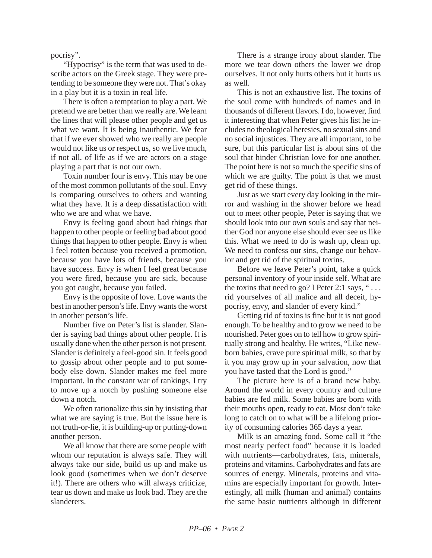pocrisy".

"Hypocrisy" is the term that was used to describe actors on the Greek stage. They were pretending to be someone they were not. That's okay in a play but it is a toxin in real life.

There is often a temptation to play a part. We pretend we are better than we really are. We learn the lines that will please other people and get us what we want. It is being inauthentic. We fear that if we ever showed who we really are people would not like us or respect us, so we live much, if not all, of life as if we are actors on a stage playing a part that is not our own.

Toxin number four is envy. This may be one of the most common pollutants of the soul. Envy is comparing ourselves to others and wanting what they have. It is a deep dissatisfaction with who we are and what we have.

Envy is feeling good about bad things that happen to other people or feeling bad about good things that happen to other people. Envy is when I feel rotten because you received a promotion, because you have lots of friends, because you have success. Envy is when I feel great because you were fired, because you are sick, because you got caught, because you failed.

Envy is the opposite of love. Love wants the best in another person's life. Envy wants the worst in another person's life.

Number five on Peter's list is slander. Slander is saying bad things about other people. It is usually done when the other person is not present. Slander is definitely a feel-good sin. It feels good to gossip about other people and to put somebody else down. Slander makes me feel more important. In the constant war of rankings, I try to move up a notch by pushing someone else down a notch.

We often rationalize this sin by insisting that what we are saying is true. But the issue here is not truth-or-lie, it is building-up or putting-down another person.

We all know that there are some people with whom our reputation is always safe. They will always take our side, build us up and make us look good (sometimes when we don't deserve it!). There are others who will always criticize, tear us down and make us look bad. They are the slanderers.

There is a strange irony about slander. The more we tear down others the lower we drop ourselves. It not only hurts others but it hurts us as well.

This is not an exhaustive list. The toxins of the soul come with hundreds of names and in thousands of different flavors. I do, however, find it interesting that when Peter gives his list he includes no theological heresies, no sexual sins and no social injustices. They are all important, to be sure, but this particular list is about sins of the soul that hinder Christian love for one another. The point here is not so much the specific sins of which we are guilty. The point is that we must get rid of these things.

Just as we start every day looking in the mirror and washing in the shower before we head out to meet other people, Peter is saying that we should look into our own souls and say that neither God nor anyone else should ever see us like this. What we need to do is wash up, clean up. We need to confess our sins, change our behavior and get rid of the spiritual toxins.

Before we leave Peter's point, take a quick personal inventory of your inside self. What are the toxins that need to go? I Peter 2:1 says, " $\dots$ rid yourselves of all malice and all deceit, hypocrisy, envy, and slander of every kind."

Getting rid of toxins is fine but it is not good enough. To be healthy and to grow we need to be nourished. Peter goes on to tell how to grow spiritually strong and healthy. He writes, "Like newborn babies, crave pure spiritual milk, so that by it you may grow up in your salvation, now that you have tasted that the Lord is good."

The picture here is of a brand new baby. Around the world in every country and culture babies are fed milk. Some babies are born with their mouths open, ready to eat. Most don't take long to catch on to what will be a lifelong priority of consuming calories 365 days a year.

Milk is an amazing food. Some call it "the most nearly perfect food" because it is loaded with nutrients—carbohydrates, fats, minerals, proteins and vitamins. Carbohydrates and fats are sources of energy. Minerals, proteins and vitamins are especially important for growth. Interestingly, all milk (human and animal) contains the same basic nutrients although in different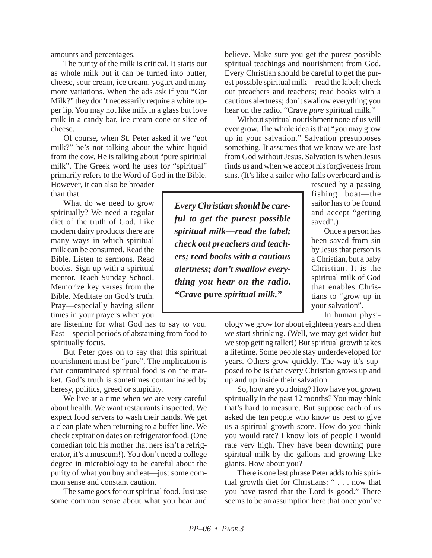amounts and percentages.

The purity of the milk is critical. It starts out as whole milk but it can be turned into butter, cheese, sour cream, ice cream, yogurt and many more variations. When the ads ask if you "Got Milk?" they don't necessarily require a white upper lip. You may not like milk in a glass but love milk in a candy bar, ice cream cone or slice of cheese.

Of course, when St. Peter asked if we "got milk?" he's not talking about the white liquid from the cow. He is talking about "pure spiritual milk". The Greek word he uses for "spiritual" primarily refers to the Word of God in the Bible.

However, it can also be broader than that.

What do we need to grow spiritually? We need a regular diet of the truth of God. Like modern dairy products there are many ways in which spiritual milk can be consumed. Read the Bible. Listen to sermons. Read books. Sign up with a spiritual mentor. Teach Sunday School. Memorize key verses from the Bible. Meditate on God's truth. Pray—especially having silent times in your prayers when you

are listening for what God has to say to you. Fast—special periods of abstaining from food to spiritually focus.

But Peter goes on to say that this spiritual nourishment must be "pure". The implication is that contaminated spiritual food is on the market. God's truth is sometimes contaminated by heresy, politics, greed or stupidity.

We live at a time when we are very careful about health. We want restaurants inspected. We expect food servers to wash their hands. We get a clean plate when returning to a buffet line. We check expiration dates on refrigerator food. (One comedian told his mother that hers isn't a refrigerator, it's a museum!). You don't need a college degree in microbiology to be careful about the purity of what you buy and eat—just some common sense and constant caution.

The same goes for our spiritual food. Just use some common sense about what you hear and believe. Make sure you get the purest possible spiritual teachings and nourishment from God. Every Christian should be careful to get the purest possible spiritual milk—read the label; check out preachers and teachers; read books with a cautious alertness; don't swallow everything you hear on the radio. "Crave *pure* spiritual milk."

Without spiritual nourishment none of us will ever grow. The whole idea is that "you may grow up in your salvation." Salvation presupposes something. It assumes that we know we are lost from God without Jesus. Salvation is when Jesus finds us and when we accept his forgiveness from sins. (It's like a sailor who falls overboard and is

> rescued by a passing fishing boat—the sailor has to be found and accept "getting saved".)

> Once a person has been saved from sin by Jesus that person is a Christian, but a baby Christian. It is the spiritual milk of God that enables Christians to "grow up in your salvation".

> > In human physi-

ology we grow for about eighteen years and then we start shrinking. (Well, we may get wider but we stop getting taller!) But spiritual growth takes a lifetime. Some people stay underdeveloped for years. Others grow quickly. The way it's supposed to be is that every Christian grows up and up and up inside their salvation.

So, how are you doing? How have you grown spiritually in the past 12 months? You may think that's hard to measure. But suppose each of us asked the ten people who know us best to give us a spiritual growth score. How do you think you would rate? I know lots of people I would rate very high. They have been downing pure spiritual milk by the gallons and growing like giants. How about you?

There is one last phrase Peter adds to his spiritual growth diet for Christians: " . . . now that you have tasted that the Lord is good." There seems to be an assumption here that once you've

*Every Christian should be careful to get the purest possible spiritual milk—read the label; check out preachers and teachers; read books with a cautious alertness; don't swallow everything you hear on the radio. "Crave* **pure** *spiritual milk."*